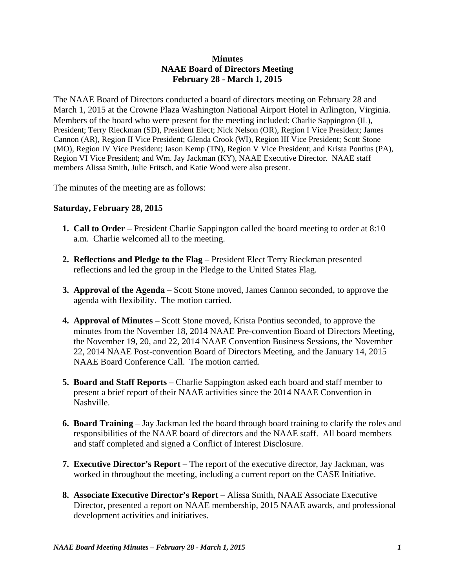## **Minutes NAAE Board of Directors Meeting February 28 - March 1, 2015**

The NAAE Board of Directors conducted a board of directors meeting on February 28 and March 1, 2015 at the Crowne Plaza Washington National Airport Hotel in Arlington, Virginia. Members of the board who were present for the meeting included: Charlie Sappington (IL), President; Terry Rieckman (SD), President Elect; Nick Nelson (OR), Region I Vice President; James Cannon (AR), Region II Vice President; Glenda Crook (WI), Region III Vice President; Scott Stone (MO), Region IV Vice President; Jason Kemp (TN), Region V Vice President; and Krista Pontius (PA), Region VI Vice President; and Wm. Jay Jackman (KY), NAAE Executive Director. NAAE staff members Alissa Smith, Julie Fritsch, and Katie Wood were also present.

The minutes of the meeting are as follows:

## **Saturday, February 28, 2015**

- **1. Call to Order** President Charlie Sappington called the board meeting to order at 8:10 a.m. Charlie welcomed all to the meeting.
- **2. Reflections and Pledge to the Flag** President Elect Terry Rieckman presented reflections and led the group in the Pledge to the United States Flag.
- **3. Approval of the Agenda** Scott Stone moved, James Cannon seconded, to approve the agenda with flexibility. The motion carried.
- **4. Approval of Minutes** Scott Stone moved, Krista Pontius seconded, to approve the minutes from the November 18, 2014 NAAE Pre-convention Board of Directors Meeting, the November 19, 20, and 22, 2014 NAAE Convention Business Sessions, the November 22, 2014 NAAE Post-convention Board of Directors Meeting, and the January 14, 2015 NAAE Board Conference Call. The motion carried.
- **5. Board and Staff Reports** Charlie Sappington asked each board and staff member to present a brief report of their NAAE activities since the 2014 NAAE Convention in Nashville.
- **6. Board Training** Jay Jackman led the board through board training to clarify the roles and responsibilities of the NAAE board of directors and the NAAE staff. All board members and staff completed and signed a Conflict of Interest Disclosure.
- **7. Executive Director's Report** The report of the executive director, Jay Jackman, was worked in throughout the meeting, including a current report on the CASE Initiative.
- **8. Associate Executive Director's Report** Alissa Smith, NAAE Associate Executive Director, presented a report on NAAE membership, 2015 NAAE awards, and professional development activities and initiatives.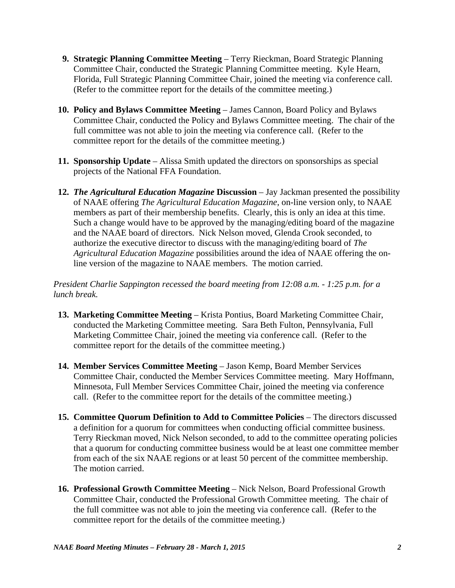- **9. Strategic Planning Committee Meeting** Terry Rieckman, Board Strategic Planning Committee Chair, conducted the Strategic Planning Committee meeting. Kyle Hearn, Florida, Full Strategic Planning Committee Chair, joined the meeting via conference call. (Refer to the committee report for the details of the committee meeting.)
- 10. Policy and Bylaws Committee Meeting James Cannon, Board Policy and Bylaws Committee Chair, conducted the Policy and Bylaws Committee meeting. The chair of the full committee was not able to join the meeting via conference call. (Refer to the committee report for the details of the committee meeting.)
- **11. Sponsorship Update**  Alissa Smith updated the directors on sponsorships as special projects of the National FFA Foundation.
- **12.** *The Agricultural Education Magazine* Discussion Jay Jackman presented the possibility of NAAE offering *The Agricultural Education Magazine*, on-line version only, to NAAE members as part of their membership benefits. Clearly, this is only an idea at this time. Such a change would have to be approved by the managing/editing board of the magazine and the NAAE board of directors. Nick Nelson moved, Glenda Crook seconded, to authorize the executive director to discuss with the managing/editing board of *The Agricultural Education Magazine* possibilities around the idea of NAAE offering the online version of the magazine to NAAE members. The motion carried.

*President Charlie Sappington recessed the board meeting from 12:08 a.m. - 1:25 p.m. for a lunch break.*

- **13. Marketing Committee Meeting** Krista Pontius, Board Marketing Committee Chair, conducted the Marketing Committee meeting. Sara Beth Fulton, Pennsylvania, Full Marketing Committee Chair, joined the meeting via conference call. (Refer to the committee report for the details of the committee meeting.)
- **14. Member Services Committee Meeting**  Jason Kemp, Board Member Services Committee Chair, conducted the Member Services Committee meeting. Mary Hoffmann, Minnesota, Full Member Services Committee Chair, joined the meeting via conference call. (Refer to the committee report for the details of the committee meeting.)
- **15. Committee Quorum Definition to Add to Committee Policies The directors discussed** a definition for a quorum for committees when conducting official committee business. Terry Rieckman moved, Nick Nelson seconded, to add to the committee operating policies that a quorum for conducting committee business would be at least one committee member from each of the six NAAE regions or at least 50 percent of the committee membership. The motion carried.
- **16. Professional Growth Committee Meeting** Nick Nelson, Board Professional Growth Committee Chair, conducted the Professional Growth Committee meeting. The chair of the full committee was not able to join the meeting via conference call. (Refer to the committee report for the details of the committee meeting.)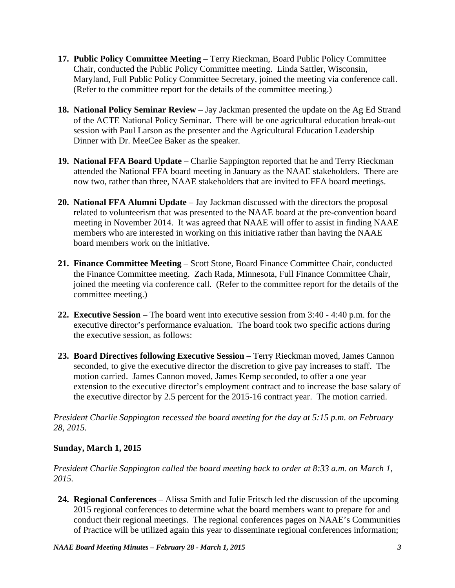- **17. Public Policy Committee Meeting** Terry Rieckman, Board Public Policy Committee Chair, conducted the Public Policy Committee meeting. Linda Sattler, Wisconsin, Maryland, Full Public Policy Committee Secretary, joined the meeting via conference call. (Refer to the committee report for the details of the committee meeting.)
- **18. National Policy Seminar Review**  Jay Jackman presented the update on the Ag Ed Strand of the ACTE National Policy Seminar. There will be one agricultural education break-out session with Paul Larson as the presenter and the Agricultural Education Leadership Dinner with Dr. MeeCee Baker as the speaker.
- **19. National FFA Board Update** Charlie Sappington reported that he and Terry Rieckman attended the National FFA board meeting in January as the NAAE stakeholders. There are now two, rather than three, NAAE stakeholders that are invited to FFA board meetings.
- **20. National FFA Alumni Update** Jay Jackman discussed with the directors the proposal related to volunteerism that was presented to the NAAE board at the pre-convention board meeting in November 2014. It was agreed that NAAE will offer to assist in finding NAAE members who are interested in working on this initiative rather than having the NAAE board members work on the initiative.
- **21. Finance Committee Meeting**  Scott Stone, Board Finance Committee Chair, conducted the Finance Committee meeting. Zach Rada, Minnesota, Full Finance Committee Chair, joined the meeting via conference call. (Refer to the committee report for the details of the committee meeting.)
- **22. Executive Session**  The board went into executive session from 3:40 4:40 p.m. for the executive director's performance evaluation. The board took two specific actions during the executive session, as follows:
- **23. Board Directives following Executive Session** Terry Rieckman moved, James Cannon seconded, to give the executive director the discretion to give pay increases to staff. The motion carried. James Cannon moved, James Kemp seconded, to offer a one year extension to the executive director's employment contract and to increase the base salary of the executive director by 2.5 percent for the 2015-16 contract year. The motion carried.

*President Charlie Sappington recessed the board meeting for the day at 5:15 p.m. on February 28, 2015.*

## **Sunday, March 1, 2015**

*President Charlie Sappington called the board meeting back to order at 8:33 a.m. on March 1, 2015.* 

**24. Regional Conferences** – Alissa Smith and Julie Fritsch led the discussion of the upcoming 2015 regional conferences to determine what the board members want to prepare for and conduct their regional meetings. The regional conferences pages on NAAE's Communities of Practice will be utilized again this year to disseminate regional conferences information;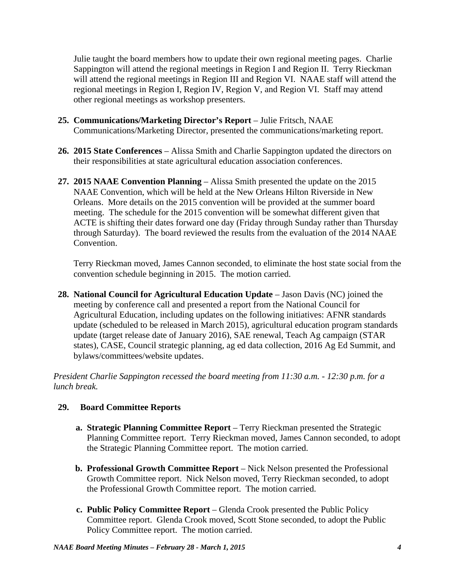Julie taught the board members how to update their own regional meeting pages. Charlie Sappington will attend the regional meetings in Region I and Region II. Terry Rieckman will attend the regional meetings in Region III and Region VI. NAAE staff will attend the regional meetings in Region I, Region IV, Region V, and Region VI. Staff may attend other regional meetings as workshop presenters.

- **25. Communications/Marketing Director's Report** Julie Fritsch, NAAE Communications/Marketing Director, presented the communications/marketing report.
- **26. 2015 State Conferences** Alissa Smith and Charlie Sappington updated the directors on their responsibilities at state agricultural education association conferences.
- **27. 2015 NAAE Convention Planning**  Alissa Smith presented the update on the 2015 NAAE Convention, which will be held at the New Orleans Hilton Riverside in New Orleans. More details on the 2015 convention will be provided at the summer board meeting. The schedule for the 2015 convention will be somewhat different given that ACTE is shifting their dates forward one day (Friday through Sunday rather than Thursday through Saturday). The board reviewed the results from the evaluation of the 2014 NAAE Convention.

 Terry Rieckman moved, James Cannon seconded, to eliminate the host state social from the convention schedule beginning in 2015. The motion carried.

**28. National Council for Agricultural Education Update – Jason Davis (NC) joined the** meeting by conference call and presented a report from the National Council for Agricultural Education, including updates on the following initiatives: AFNR standards update (scheduled to be released in March 2015), agricultural education program standards update (target release date of January 2016), SAE renewal, Teach Ag campaign (STAR states), CASE, Council strategic planning, ag ed data collection, 2016 Ag Ed Summit, and bylaws/committees/website updates.

*President Charlie Sappington recessed the board meeting from 11:30 a.m. - 12:30 p.m. for a lunch break.*

## **29. Board Committee Reports**

- **a. Strategic Planning Committee Report** Terry Rieckman presented the Strategic Planning Committee report. Terry Rieckman moved, James Cannon seconded, to adopt the Strategic Planning Committee report. The motion carried.
- **b. Professional Growth Committee Report** Nick Nelson presented the Professional Growth Committee report. Nick Nelson moved, Terry Rieckman seconded, to adopt the Professional Growth Committee report. The motion carried.
- **c. Public Policy Committee Report**  Glenda Crook presented the Public Policy Committee report. Glenda Crook moved, Scott Stone seconded, to adopt the Public Policy Committee report. The motion carried.